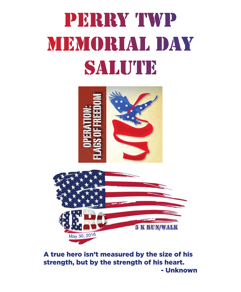# PERRY TWP MEMORIAL DAY SALUTE



May 30, 2016 A true hero isn't measured by the size of his strength, but by the strength of his heart. - Unknown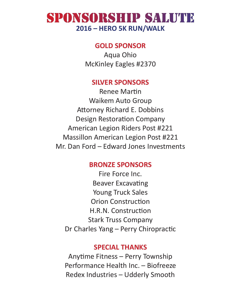#### SPONSORSHIP SALUTE **2016 – HERO 5K RUN/WALK**

#### **GOLD SPONSOR**

Aqua Ohio McKinley Eagles #2370

#### **SILVER SPONSORS**

Renee Martin Waikem Auto Group Attorney Richard E. Dobbins Design Restoration Company American Legion Riders Post #221 Massillon American Legion Post #221 Mr. Dan Ford – Edward Jones Investments

#### **BRONZE SPONSORS**

Fire Force Inc. Beaver Excavating Young Truck Sales Orion Construction H.R.N. Construction Stark Truss Company Dr Charles Yang – Perry Chiropractic

#### **SPECIAL THANKS**

Anytime Fitness – Perry Township Performance Health Inc. – Biofreeze Redex Industries – Udderly Smooth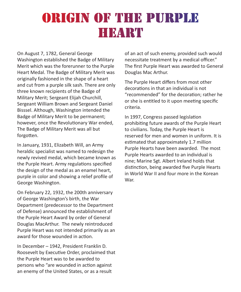### ORIGIN OF THE PURPLE HIEATRT

On August 7, 1782, General George Washington established the Badge of Military Merit which was the forerunner to the Purple Heart Medal. The Badge of Military Merit was originally fashioned in the shape of a heart and cut from a purple silk sash. There are only three known recipients of the Badge of Military Merit; Sergeant Elijah Churchill, Sergeant William Brown and Sergeant Daniel Bisssel. Although, Washington intended the Badge of Military Merit to be permanent; however, once the Revolutionary War ended, The Badge of Military Merit was all but forgotten.

In January, 1931, Elizabeth Will, an Army heraldic specialist was named to redesign the newly revived medal, which became known as the Purple Heart. Army regulations specified the design of the medal as an enamel heart, purple in color and showing a relief profile of George Washington.

On February 22, 1932, the 200th anniversary of George Washington's birth, the War Department (predecessor to the Department of Defense) announced the establishment of the Purple Heart Award by order of General Douglas MacArthur. The newly reintroduced Purple Heart was not intended primarily as an award for those wounded in action.

In December – 1942, President Franklin D. Roosevelt by Executive Order, proclaimed that the Purple Heart was to be awarded to persons who "are wounded in action against an enemy of the United States, or as a result

of an act of such enemy, provided such would necessitate treatment by a medical officer." The first Purple Heart was awarded to General Douglas Mac Arthur.

The Purple Heart differs from most other decorations in that an individual is not "recommended" for the decoration; rather he or she is entitled to it upon meeting specific criteria.

In 1997, Congress passed legislation prohibiting future awards of the Purple Heart to civilians. Today, the Purple Heart is reserved for men and women in uniform. It is estimated that approximately 1.7 million Purple Hearts have been awarded. The most Purple Hearts awarded to an individual is nine; Marine Sgt. Albert Ireland holds that distinction, being awarded five Purple Hearts in World War II and four more in the Korean War.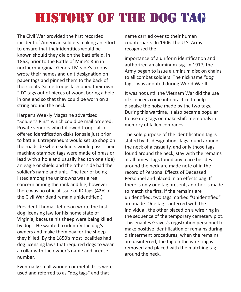## HISTORY OF THE DOG TAG

The Civil War provided the first recorded incident of American soldiers making an effort to ensure that their identities would be known should they die on the battlefield. In 1863, prior to the Battle of Mine's Run in northern Virginia, General Meade's troops wrote their names and unit designation on paper tags and pinned them to the back of their coats. Some troops fashioned their own "ID" tags out of pieces of wood, boring a hole in one end so that they could be worn on a string around the neck.

Harper's Weekly Magazine advertised "Soldier's Pins" which could be mail ordered. Private vendors who followed troops also offered identification disks for sale just prior to battle. Entrepreneurs would set up shop on the roadside where soldiers would pass. Their machine-stamped tags were made of brass or lead with a hole and usually had (on one side) an eagle or shield and the other side had the soldier's name and unit. The fear of being listed among the unknowns was a real concern among the rank and file; however there was no official issue of ID tags (42% of the Civil War dead remain unidentified.)

President Thomas Jefferson wrote the first dog licensing law for his home state of Virginia, because his sheep were being killed by dogs. He wanted to identify the dog's owners and make them pay for the sheep they killed. By the 1850's most localities had dog licensing laws that required dogs to wear a collar with the owner's name and license number.

Eventually small wooden or metal discs were used and referred to as "dog tags" and that

name carried over to their human counterparts. In 1906, the U.S. Army recognized the

importance of a uniform identification and authorized an aluminum tag. In 1917, the Army began to issue aluminum disc on chains to all combat soldiers. The nickname "dog tags" was adopted during World War II.

It was not until the Vietnam War did the use of silencers come into practice to help disguise the noise made by the two tags. During this wartime, it also became popular to use dog tags on make-shift memorials in memory of fallen comrades.

The sole purpose of the identification tag is stated by its designation. Tags found around the neck of a casualty, and only those tags found around the neck, stay with the remains at all times. Tags found any place besides around the neck are made note of in the record of Personal Effects of Deceased Personnel and placed in an effects bag. If there is only one tag present, another is made to match the first. If the remains are unidentified, two tags marked "Unidentified" are made. One tag is interred with the individual, the other placed on a wire ring in the sequence of the temporary cemetery plot. This enables Graves's registration personnel to make positive identification of remains during disinterment procedures; when the remains are disinterred, the tag on the wire ring is removed and placed with the matching tag around the neck.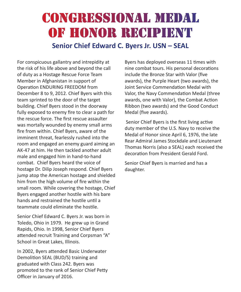#### CONGRESSIONAL MEDAL OF HONOR RECIPIENT **Senior Chief Edward C. Byers Jr. USN – SEAL**

For conspicuous gallantry and intrepidity at the risk of his life above and beyond the call of duty as a Hostage Rescue Force Team Member in Afghanistan in support of Operation ENDURING FREEDOM from December 8 to 9, 2012. Chief Byers with this team sprinted to the door of the target building. Chief Byers stood in the doorway fully exposed to enemy fire to clear a path for the rescue force. The first rescue assaulter was mortally wounded by enemy small arms fire from within. Chief Byers, aware of the imminent threat, fearlessly rushed into the room and engaged an enemy guard aiming an AK-47 at him. He then tackled another adult male and engaged him in hand-to-hand combat. Chief Byers heard the voice of hostage Dr. Dilip Joseph respond. Chief Byers jump atop the American hostage and shielded him from the high volume of fire within the small room. While covering the hostage, Chief Byers engaged another hostile with his bare hands and restrained the hostile until a teammate could eliminate the hostile.

Senior Chief Edward C. Byers Jr. was born in Toledo, Ohio in 1979. He grew up in Grand Rapids, Ohio. In 1998, Senior Chief Byers attended recruit Training and Corpsman "A" School in Great Lakes, Illinois.

In 2002, Byers attended Basic Underwater Demolition SEAL (BUD/S) training and graduated with Class 242. Byers was promoted to the rank of Senior Chief Petty Officer in January of 2016.

Byers has deployed overseas 11 times with nine combat tours. His personal decorations include the Bronze Star with Valor (five awards), the Purple Heart (two awards), the Joint Service Commendation Medal with Valor, the Navy Commendation Medal (three awards, one with Valor), the Combat Action Ribbon (two awards) and the Good Conduct Medal (five awards).

 Senior Chief Byers is the first living active duty member of the U.S. Navy to receive the Medal of Honor since April 6, 1976, the late Rear Admiral James Stockdale and Lieutenant Thomas Norris (also a SEAL) each received the decoration from President Gerald Ford.

Senior Chief Byers is married and has a daughter.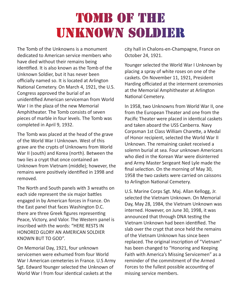### **TOMB OF THE UNKNOWN SOLDIER**

The Tomb of the Unknowns is a monument dedicated to American service members who have died without their remains being identified. It is also known as the Tomb of the Unknown Soldier, but it has never been officially named so. It is located at Arlington National Cemetery. On March 4, 1921, the U.S. Congress approved the burial of an unidentified American serviceman from World War I in the plaza of the new Memorial Amphitheater. The Tomb consists of seven pieces of marble in four levels. The Tomb was completed in April 9, 1932.

The Tomb was placed at the head of the grave of the World War I Unknown. West of this grave are the crypts of Unknowns from World War II (south) and Korea (north). Between the two lies a crypt that once contained an Unknown from Vietnam (middle); however, the remains were positively identified in 1998 and removed.

The North and South panels with 3 wreaths on each side represent the six major battles engaged in by American forces in France. On the East panel that faces Washington D.C. there are three Greek figures representing Peace, Victory, and Valor. The Western panel is inscribed with the words: "HERE RESTS IN HONORED GLORY AN AMERICAN SOLDIER KNOWN BUT TO GOD".

On Memorial Day, 1921, four unknown servicemen were exhumed from four World War I American cemeteries in France. U.S Army Sgt. Edward Younger selected the Unknown of World War I from four identical caskets at the

city hall in Chalons-en-Champagne, France on October 24, 1921.

Younger selected the World War I Unknown by placing a spray of white roses on one of the caskets. On November 11, 1921, President Harding officiated at the interment ceremonies at the Memorial Amphitheater at Arlington National Cemetery.

In 1958, two Unknowns from World War II, one from the European Theater and one from the Pacific Theater were placed in identical caskets and taken aboard the USS Canberra. Navy Corpsman 1st Class William Charette, a Medal of Honor recipient, selected the World War II Unknown. The remaining casket received a solemn burial at sea. Four unknown Americans who died in the Korean War were disinterred and Army Master Sergeant Ned Lyle made the final selection. On the morning of May 30, 1958 the two caskets were carried on caissons to Arlington National Cemetery.

U.S. Marine Corps Sgt. Maj. Allan Kellogg, Jr. selected the Vietnam Unknown. On Memorial Day, May 28, 1984, the Vietnam Unknown was interned. However, on June 30, 1998, it was announced that through DNA testing the Vietnam Unknown had been identified. The slab over the crypt that once held the remains of the Vietnam Unknown has since been replaced. The original inscription of "Vietnam" has been changed to "Honoring and Keeping Faith with America's Missing Servicemen" as a reminder of the commitment of the Armed Forces to the fullest possible accounting of missing service members.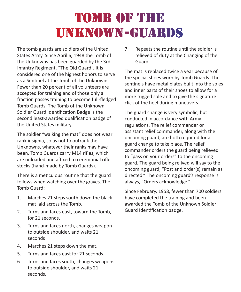### **TOMB OF THE** UNKNOWN-GUARDS

The tomb guards are soldiers of the United States Army. Since April 6, 1948 the Tomb of the Unknowns has been guarded by the 3rd Infantry Regiment, "The Old Guard". It is considered one of the highest honors to serve as a Sentinel at the Tomb of the Unknowns. Fewer than 20 percent of all volunteers are accepted for training and of those only a fraction passes training to become full-fledged Tomb Guards. The Tomb of the Unknown Soldier Guard Identification Badge is the second least-awarded qualification badge of the United States military.

The soldier "walking the mat" does not wear rank insignia, so as not to outrank the Unknowns, whatever their ranks may have been. Tomb Guards carry M14 rifles, which are unloaded and affixed to ceremonial rifle stocks (hand-made by Tomb Guards).

There is a meticulous routine that the guard follows when watching over the graves. The Tomb Guard:

- 1. Marches 21 steps south down the black mat laid across the Tomb.
- 2. Turns and faces east, toward the Tomb, for 21 seconds.
- 3. Turns and faces north, changes weapon to outside shoulder, and waits 21 seconds
- 4. Marches 21 steps down the mat.
- 5. Turns and faces east for 21 seconds.
- 6. Turns and faces south, changes weapons to outside shoulder, and waits 21 seconds.

7. Repeats the routine until the soldier is relieved of duty at the Changing of the Guard.

The mat is replaced twice a year because of the special shoes worn by Tomb Guards. The sentinels have metal plates built into the soles and inner parts of their shoes to allow for a more rugged sole and to give the signature click of the heel during maneuvers.

The guard change is very symbolic, but conducted in accordance with Army regulations. The relief commander or assistant relief commander, along with the oncoming guard, are both required for a guard change to take place. The relief commander orders the guard being relieved to "pass on your orders" to the oncoming guard. The guard being relived will say to the oncoming guard, "Post and order(s) remain as directed." The oncoming guard's response is always, "Orders acknowledge."

Since February, 1958, fewer than 700 soldiers have completed the training and been awarded the Tomb of the Unknown Soldier Guard Identification badge.